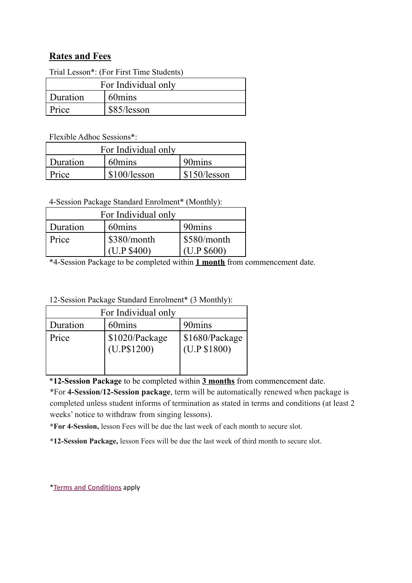## **Rates and Fees**

| I rial Lesson <sup>*</sup> : (For First Time Students) |             |  |  |
|--------------------------------------------------------|-------------|--|--|
| For Individual only                                    |             |  |  |
| Duration                                               | 60mins      |  |  |
| Price                                                  | \$85/lesson |  |  |

Trial Lesson\*: (For First Time Students)

Flexible Adhoc Sessions\*:

| For Individual only |              |              |  |
|---------------------|--------------|--------------|--|
| Duration            | 60mins       | 90mins       |  |
| Price               | \$100/lesson | \$150/lesson |  |

4-Session Package Standard Enrolment\* (Monthly):

| For Individual only |               |             |  |  |
|---------------------|---------------|-------------|--|--|
| <b>Duration</b>     | 60mins        | 90 mins     |  |  |
| Price               | $$380/m$ onth | S580/month  |  |  |
|                     | (U.P \$400)   | (U.P \$600) |  |  |

\*4-Session Package to be completed within **1 month** from commencement date.

12-Session Package Standard Enrolment\* (3 Monthly):

| For Individual only |                               |                                |  |  |
|---------------------|-------------------------------|--------------------------------|--|--|
| Duration            | 60mins                        | 90mins                         |  |  |
| Price               | \$1020/Package<br>(U.P\$1200) | \$1680/Package<br>(U.P \$1800) |  |  |

\***12-Session Package** to be completed within **3 months** from commencement date.

\*For **4-Session/12-Session package**, term will be automatically renewed when package is completed unless student informs of termination as stated in terms and conditions (at least 2 weeks' notice to withdraw from singing lessons).

**\*For 4-Session,** lesson Fees will be due the last week of each month to secure slot.

**\*12-Session Package,** lesson Fees will be due the last week of third month to secure slot.

\***Terms and [Conditions](http://www.voconnection.org/termsandconditions)** apply